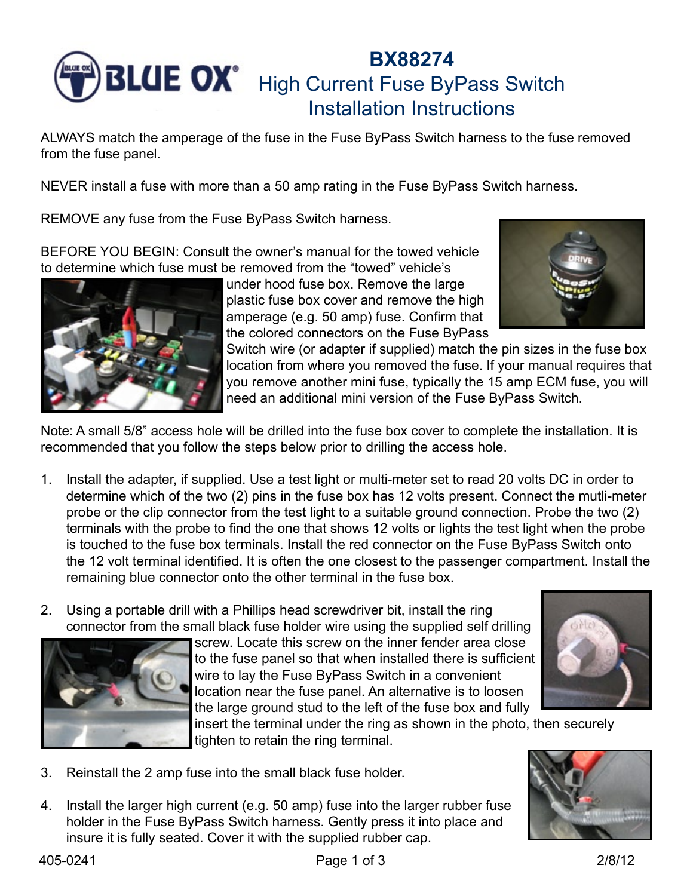

## **BX88274** High Current Fuse ByPass Switch Installation Instructions

ALWAYS match the amperage of the fuse in the Fuse ByPass Switch harness to the fuse removed from the fuse panel.

NEVER install a fuse with more than a 50 amp rating in the Fuse ByPass Switch harness.

REMOVE any fuse from the Fuse ByPass Switch harness.

BEFORE YOU BEGIN: Consult the owner's manual for the towed vehicle to determine which fuse must be removed from the "towed" vehicle's



under hood fuse box. Remove the large plastic fuse box cover and remove the high amperage (e.g. 50 amp) fuse. Confirm that the colored connectors on the Fuse ByPass



Switch wire (or adapter if supplied) match the pin sizes in the fuse box location from where you removed the fuse. If your manual requires that you remove another mini fuse, typically the 15 amp ECM fuse, you will need an additional mini version of the Fuse ByPass Switch.

Note: A small 5/8" access hole will be drilled into the fuse box cover to complete the installation. It is recommended that you follow the steps below prior to drilling the access hole.

- 1. Install the adapter, if supplied. Use a test light or multi-meter set to read 20 volts DC in order to determine which of the two (2) pins in the fuse box has 12 volts present. Connect the mutli-meter probe or the clip connector from the test light to a suitable ground connection. Probe the two (2) terminals with the probe to find the one that shows 12 volts or lights the test light when the probe is touched to the fuse box terminals. Install the red connector on the Fuse ByPass Switch onto the 12 volt terminal identified. It is often the one closest to the passenger compartment. Install the remaining blue connector onto the other terminal in the fuse box.
- 2. Using a portable drill with a Phillips head screwdriver bit, install the ring connector from the small black fuse holder wire using the supplied self drilling



screw. Locate this screw on the inner fender area close to the fuse panel so that when installed there is sufficient wire to lay the Fuse ByPass Switch in a convenient location near the fuse panel. An alternative is to loosen the large ground stud to the left of the fuse box and fully



insert the terminal under the ring as shown in the photo, then securely tighten to retain the ring terminal.

- 3. Reinstall the 2 amp fuse into the small black fuse holder.
- 4. Install the larger high current (e.g. 50 amp) fuse into the larger rubber fuse holder in the Fuse ByPass Switch harness. Gently press it into place and insure it is fully seated. Cover it with the supplied rubber cap.

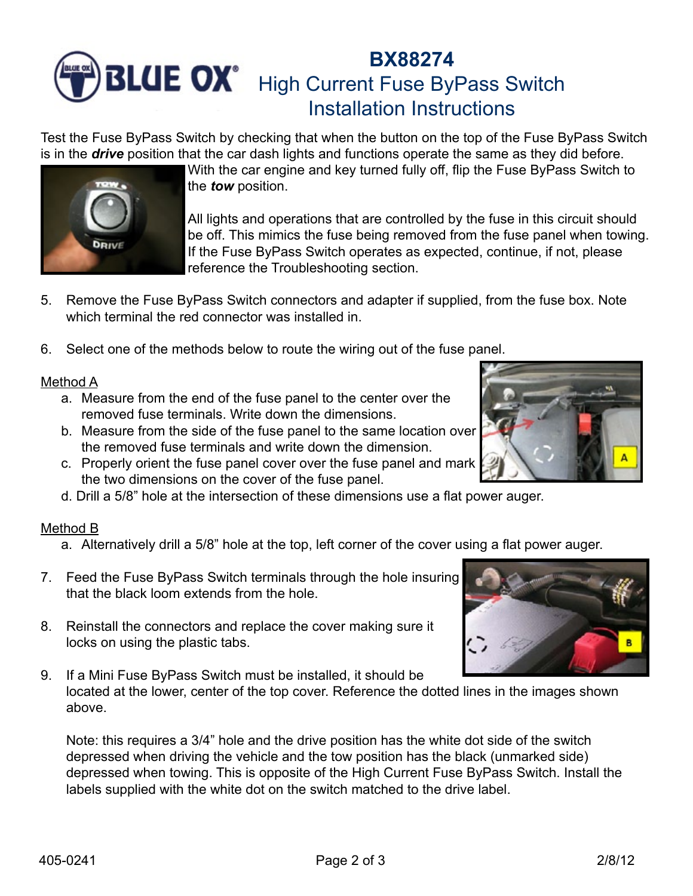# **BX88274 BLUE OX**<sup>\*</sup> High Current Fuse ByPass Switch Installation Instructions

Test the Fuse ByPass Switch by checking that when the button on the top of the Fuse ByPass Switch is in the *drive* position that the car dash lights and functions operate the same as they did before.



All lights and operations that are controlled by the fuse in this circuit should be off. This mimics the fuse being removed from the fuse panel when towing. If the Fuse ByPass Switch operates as expected, continue, if not, please reference the Troubleshooting section.

- 5. Remove the Fuse ByPass Switch connectors and adapter if supplied, from the fuse box. Note which terminal the red connector was installed in.
- 6. Select one of the methods below to route the wiring out of the fuse panel.

#### Method A

**DRIVE** 

- a. Measure from the end of the fuse panel to the center over the removed fuse terminals. Write down the dimensions.
- b. Measure from the side of the fuse panel to the same location over the removed fuse terminals and write down the dimension.
- c. Properly orient the fuse panel cover over the fuse panel and mark the two dimensions on the cover of the fuse panel.
- d. Drill a 5/8" hole at the intersection of these dimensions use a flat power auger.

#### Method B

- a. Alternatively drill a 5/8" hole at the top, left corner of the cover using a flat power auger.
- 7. Feed the Fuse ByPass Switch terminals through the hole insuring that the black loom extends from the hole.
- 8. Reinstall the connectors and replace the cover making sure it locks on using the plastic tabs.
- 9. If a Mini Fuse ByPass Switch must be installed, it should be located at the lower, center of the top cover. Reference the dotted lines in the images shown above.

Note: this requires a 3/4" hole and the drive position has the white dot side of the switch depressed when driving the vehicle and the tow position has the black (unmarked side) depressed when towing. This is opposite of the High Current Fuse ByPass Switch. Install the labels supplied with the white dot on the switch matched to the drive label.